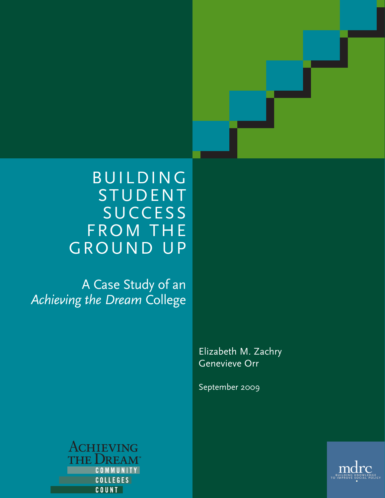

A Case Study of an *Achieving the Dream* College

> Elizabeth M. Zachry Genevieve Orr

September 2009



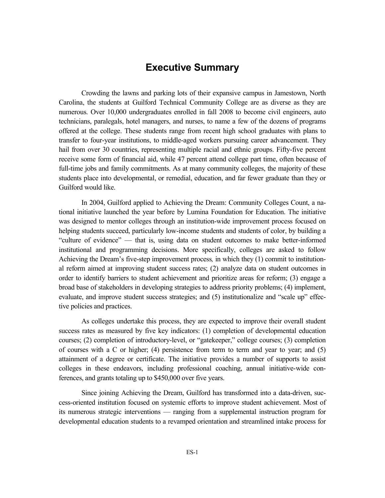# **Executive Summary**

Crowding the lawns and parking lots of their expansive campus in Jamestown, North Carolina, the students at Guilford Technical Community College are as diverse as they are numerous. Over 10,000 undergraduates enrolled in fall 2008 to become civil engineers, auto technicians, paralegals, hotel managers, and nurses, to name a few of the dozens of programs offered at the college. These students range from recent high school graduates with plans to transfer to four-year institutions, to middle-aged workers pursuing career advancement. They hail from over 30 countries, representing multiple racial and ethnic groups. Fifty-five percent receive some form of financial aid, while 47 percent attend college part time, often because of full-time jobs and family commitments. As at many community colleges, the majority of these students place into developmental, or remedial, education, and far fewer graduate than they or Guilford would like.

In 2004, Guilford applied to Achieving the Dream: Community Colleges Count, a national initiative launched the year before by Lumina Foundation for Education. The initiative was designed to mentor colleges through an institution-wide improvement process focused on helping students succeed, particularly low-income students and students of color, by building a "culture of evidence" — that is, using data on student outcomes to make better-informed institutional and programming decisions. More specifically, colleges are asked to follow Achieving the Dream's five-step improvement process*,* in which they (1) commit to institutional reform aimed at improving student success rates; (2) analyze data on student outcomes in order to identify barriers to student achievement and prioritize areas for reform; (3) engage a broad base of stakeholders in developing strategies to address priority problems; (4) implement, evaluate, and improve student success strategies; and (5) institutionalize and "scale up" effective policies and practices.

As colleges undertake this process, they are expected to improve their overall student success rates as measured by five key indicators: (1) completion of developmental education courses; (2) completion of introductory-level, or "gatekeeper," college courses; (3) completion of courses with a C or higher; (4) persistence from term to term and year to year; and (5) attainment of a degree or certificate. The initiative provides a number of supports to assist colleges in these endeavors, including professional coaching, annual initiative-wide conferences, and grants totaling up to \$450,000 over five years.

Since joining Achieving the Dream, Guilford has transformed into a data-driven, success-oriented institution focused on systemic efforts to improve student achievement. Most of its numerous strategic interventions — ranging from a supplemental instruction program for developmental education students to a revamped orientation and streamlined intake process for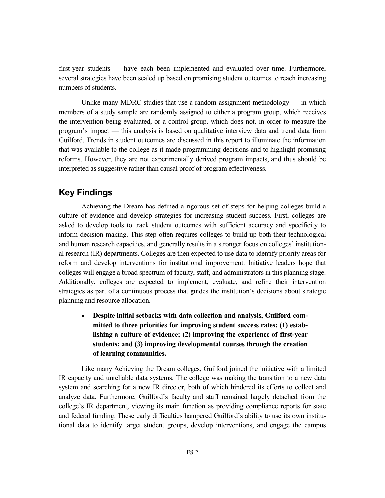first-year students — have each been implemented and evaluated over time. Furthermore, several strategies have been scaled up based on promising student outcomes to reach increasing numbers of students.

Unlike many MDRC studies that use a random assignment methodology — in which members of a study sample are randomly assigned to either a program group, which receives the intervention being evaluated, or a control group, which does not, in order to measure the program's impact — this analysis is based on qualitative interview data and trend data from Guilford. Trends in student outcomes are discussed in this report to illuminate the information that was available to the college as it made programming decisions and to highlight promising reforms. However, they are not experimentally derived program impacts, and thus should be interpreted as suggestive rather than causal proof of program effectiveness.

## **Key Findings**

Achieving the Dream has defined a rigorous set of steps for helping colleges build a culture of evidence and develop strategies for increasing student success. First, colleges are asked to develop tools to track student outcomes with sufficient accuracy and specificity to inform decision making. This step often requires colleges to build up both their technological and human research capacities, and generally results in a stronger focus on colleges' institutional research (IR) departments. Colleges are then expected to use data to identify priority areas for reform and develop interventions for institutional improvement. Initiative leaders hope that colleges will engage a broad spectrum of faculty, staff, and administrators in this planning stage. Additionally, colleges are expected to implement, evaluate, and refine their intervention strategies as part of a continuous process that guides the institution's decisions about strategic planning and resource allocation.

• **Despite initial setbacks with data collection and analysis, Guilford committed to three priorities for improving student success rates: (1) establishing a culture of evidence; (2) improving the experience of first-year students; and (3) improving developmental courses through the creation of learning communities.**

Like many Achieving the Dream colleges, Guilford joined the initiative with a limited IR capacity and unreliable data systems. The college was making the transition to a new data system and searching for a new IR director, both of which hindered its efforts to collect and analyze data. Furthermore, Guilford's faculty and staff remained largely detached from the college's IR department, viewing its main function as providing compliance reports for state and federal funding. These early difficulties hampered Guilford's ability to use its own institutional data to identify target student groups, develop interventions, and engage the campus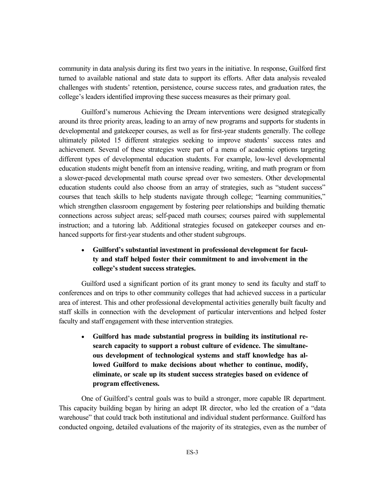community in data analysis during its first two years in the initiative. In response, Guilford first turned to available national and state data to support its efforts. After data analysis revealed challenges with students' retention, persistence, course success rates, and graduation rates, the college's leaders identified improving these success measures as their primary goal.

Guilford's numerous Achieving the Dream interventions were designed strategically around its three priority areas, leading to an array of new programs and supports for students in developmental and gatekeeper courses, as well as for first-year students generally. The college ultimately piloted 15 different strategies seeking to improve students' success rates and achievement. Several of these strategies were part of a menu of academic options targeting different types of developmental education students. For example, low-level developmental education students might benefit from an intensive reading, writing, and math program or from a slower-paced developmental math course spread over two semesters. Other developmental education students could also choose from an array of strategies, such as "student success" courses that teach skills to help students navigate through college; "learning communities," which strengthen classroom engagement by fostering peer relationships and building thematic connections across subject areas; self-paced math courses; courses paired with supplemental instruction; and a tutoring lab. Additional strategies focused on gatekeeper courses and enhanced supports for first-year students and other student subgroups.

## • **Guilford's substantial investment in professional development for faculty and staff helped foster their commitment to and involvement in the college's student success strategies.**

Guilford used a significant portion of its grant money to send its faculty and staff to conferences and on trips to other community colleges that had achieved success in a particular area of interest. This and other professional developmental activities generally built faculty and staff skills in connection with the development of particular interventions and helped foster faculty and staff engagement with these intervention strategies.

• **Guilford has made substantial progress in building its institutional research capacity to support a robust culture of evidence. The simultaneous development of technological systems and staff knowledge has allowed Guilford to make decisions about whether to continue, modify, eliminate, or scale up its student success strategies based on evidence of program effectiveness.** 

One of Guilford's central goals was to build a stronger, more capable IR department. This capacity building began by hiring an adept IR director, who led the creation of a "data warehouse" that could track both institutional and individual student performance. Guilford has conducted ongoing, detailed evaluations of the majority of its strategies, even as the number of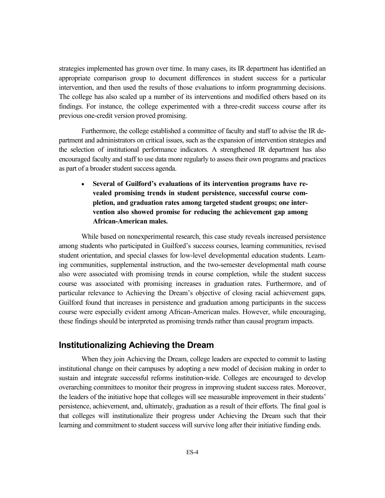strategies implemented has grown over time. In many cases, its IR department has identified an appropriate comparison group to document differences in student success for a particular intervention, and then used the results of those evaluations to inform programming decisions. The college has also scaled up a number of its interventions and modified others based on its findings. For instance, the college experimented with a three-credit success course after its previous one-credit version proved promising.

Furthermore, the college established a committee of faculty and staff to advise the IR department and administrators on critical issues, such as the expansion of intervention strategies and the selection of institutional performance indicators. A strengthened IR department has also encouraged faculty and staff to use data more regularly to assess their own programs and practices as part of a broader student success agenda.

• **Several of Guilford's evaluations of its intervention programs have revealed promising trends in student persistence, successful course completion, and graduation rates among targeted student groups; one intervention also showed promise for reducing the achievement gap among African-American males.**

While based on nonexperimental research, this case study reveals increased persistence among students who participated in Guilford's success courses, learning communities, revised student orientation, and special classes for low-level developmental education students. Learning communities, supplemental instruction, and the two-semester developmental math course also were associated with promising trends in course completion, while the student success course was associated with promising increases in graduation rates. Furthermore, and of particular relevance to Achieving the Dream's objective of closing racial achievement gaps*,*  Guilford found that increases in persistence and graduation among participants in the success course were especially evident among African-American males. However, while encouraging, these findings should be interpreted as promising trends rather than causal program impacts.

## **Institutionalizing Achieving the Dream**

When they join Achieving the Dream, college leaders are expected to commit to lasting institutional change on their campuses by adopting a new model of decision making in order to sustain and integrate successful reforms institution-wide. Colleges are encouraged to develop overarching committees to monitor their progress in improving student success rates. Moreover, the leaders of the initiative hope that colleges will see measurable improvement in their students' persistence, achievement, and, ultimately, graduation as a result of their efforts. The final goal is that colleges will institutionalize their progress under Achieving the Dream such that their learning and commitment to student success will survive long after their initiative funding ends.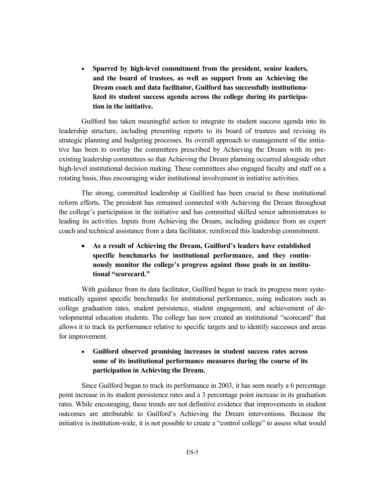• **Spurred by high-level commitment from the president, senior leaders, and the board of trustees, as well as support from an Achieving the Dream coach and data facilitator, Guilford has successfully institutionalized its student success agenda across the college during its participation in the initiative.**

Guilford has taken meaningful action to integrate its student success agenda into its leadership structure, including presenting reports to its board of trustees and revising its strategic planning and budgeting processes. Its overall approach to management of the initiative has been to overlay the committees prescribed by Achieving the Dream with its preexisting leadership committees so that Achieving the Dream planning occurred alongside other high-level institutional decision making. These committees also engaged faculty and staff on a rotating basis, thus encouraging wider institutional involvement in initiative activities.

The strong, committed leadership at Guilford has been crucial to these institutional reform efforts. The president has remained connected with Achieving the Dream throughout the college's participation in the initiative and has committed skilled senior administrators to leading its activities. Inputs from Achieving the Dream, including guidance from an expert coach and technical assistance from a data facilitator, reinforced this leadership commitment.

## • **As a result of Achieving the Dream, Guilford's leaders have established specific benchmarks for institutional performance, and they continuously monitor the college's progress against those goals in an institutional "scorecard."**

With guidance from its data facilitator, Guilford began to track its progress more systematically against specific benchmarks for institutional performance, using indicators such as college graduation rates, student persistence, student engagement, and achievement of developmental education students. The college has now created an institutional "scorecard" that allows it to track its performance relative to specific targets and to identify successes and areas for improvement.

### • **Guilford observed promising increases in student success rates across some of its institutional performance measures during the course of its participation in Achieving the Dream.**

Since Guilford began to track its performance in 2003, it has seen nearly a 6 percentage point increase in its student persistence rates and a 3 percentage point increase in its graduation rates. While encouraging, these trends are not definitive evidence that improvements in student outcomes are attributable to Guilford's Achieving the Dream interventions. Because the initiative is institution-wide, it is not possible to create a "control college" to assess what would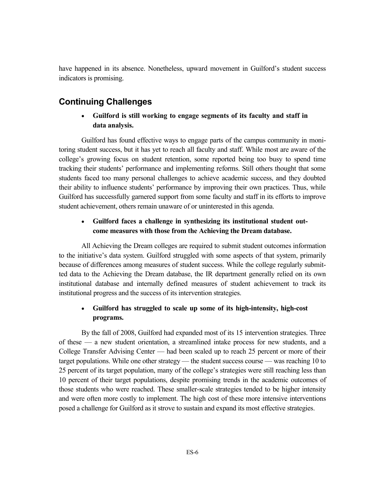have happened in its absence. Nonetheless, upward movement in Guilford's student success indicators is promising.

## **Continuing Challenges**

### • **Guilford is still working to engage segments of its faculty and staff in data analysis.**

Guilford has found effective ways to engage parts of the campus community in monitoring student success, but it has yet to reach all faculty and staff. While most are aware of the college's growing focus on student retention, some reported being too busy to spend time tracking their students' performance and implementing reforms. Still others thought that some students faced too many personal challenges to achieve academic success, and they doubted their ability to influence students' performance by improving their own practices. Thus, while Guilford has successfully garnered support from some faculty and staff in its efforts to improve student achievement, others remain unaware of or uninterested in this agenda.

#### • **Guilford faces a challenge in synthesizing its institutional student outcome measures with those from the Achieving the Dream database.**

All Achieving the Dream colleges are required to submit student outcomes information to the initiative's data system. Guilford struggled with some aspects of that system, primarily because of differences among measures of student success. While the college regularly submitted data to the Achieving the Dream database, the IR department generally relied on its own institutional database and internally defined measures of student achievement to track its institutional progress and the success of its intervention strategies.

## • **Guilford has struggled to scale up some of its high-intensity, high-cost programs.**

By the fall of 2008, Guilford had expanded most of its 15 intervention strategies. Three of these — a new student orientation, a streamlined intake process for new students, and a College Transfer Advising Center — had been scaled up to reach 25 percent or more of their target populations. While one other strategy — the student success course — was reaching 10 to 25 percent of its target population, many of the college's strategies were still reaching less than 10 percent of their target populations, despite promising trends in the academic outcomes of those students who were reached. These smaller-scale strategies tended to be higher intensity and were often more costly to implement. The high cost of these more intensive interventions posed a challenge for Guilford as it strove to sustain and expand its most effective strategies.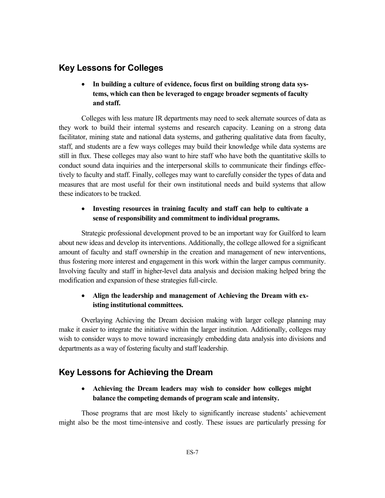## **Key Lessons for Colleges**

• **In building a culture of evidence, focus first on building strong data systems, which can then be leveraged to engage broader segments of faculty and staff.**

Colleges with less mature IR departments may need to seek alternate sources of data as they work to build their internal systems and research capacity. Leaning on a strong data facilitator, mining state and national data systems, and gathering qualitative data from faculty, staff, and students are a few ways colleges may build their knowledge while data systems are still in flux. These colleges may also want to hire staff who have both the quantitative skills to conduct sound data inquiries and the interpersonal skills to communicate their findings effectively to faculty and staff. Finally, colleges may want to carefully consider the types of data and measures that are most useful for their own institutional needs and build systems that allow these indicators to be tracked.

#### • **Investing resources in training faculty and staff can help to cultivate a sense of responsibility and commitment to individual programs.**

Strategic professional development proved to be an important way for Guilford to learn about new ideas and develop its interventions. Additionally, the college allowed for a significant amount of faculty and staff ownership in the creation and management of new interventions, thus fostering more interest and engagement in this work within the larger campus community. Involving faculty and staff in higher-level data analysis and decision making helped bring the modification and expansion of these strategies full-circle.

### • **Align the leadership and management of Achieving the Dream with existing institutional committees.**

Overlaying Achieving the Dream decision making with larger college planning may make it easier to integrate the initiative within the larger institution. Additionally, colleges may wish to consider ways to move toward increasingly embedding data analysis into divisions and departments as a way of fostering faculty and staff leadership.

# **Key Lessons for Achieving the Dream**

#### • **Achieving the Dream leaders may wish to consider how colleges might balance the competing demands of program scale and intensity.**

Those programs that are most likely to significantly increase students' achievement might also be the most time-intensive and costly. These issues are particularly pressing for